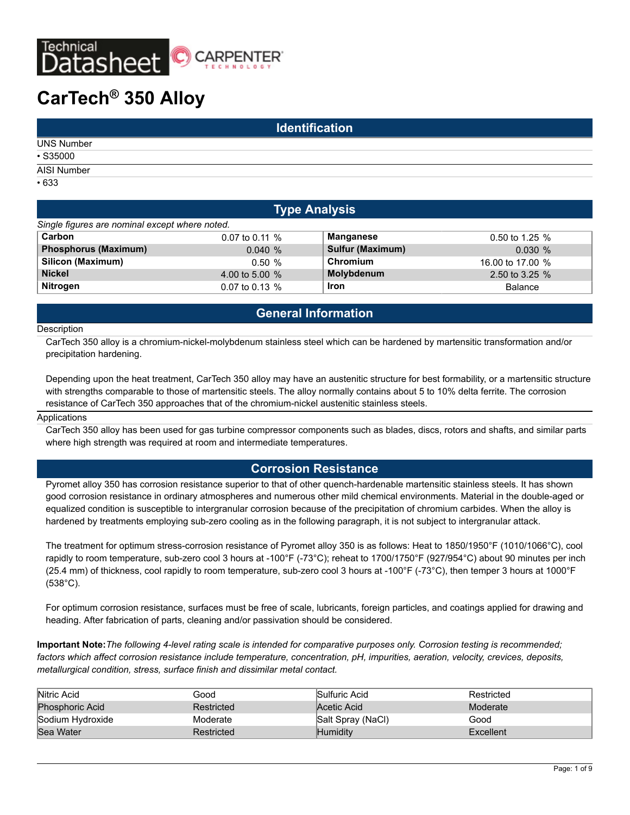

# **CarTech® 350 Alloy**

| <b>Identification</b>                            |  |  |  |  |
|--------------------------------------------------|--|--|--|--|
| <b>UNS Number</b>                                |  |  |  |  |
| $•$ S35000                                       |  |  |  |  |
| and the control of the control of<br>AISI Number |  |  |  |  |
| •633                                             |  |  |  |  |

### **Type Analysis**

|                                                | . .              |                         |                  |
|------------------------------------------------|------------------|-------------------------|------------------|
| Single figures are nominal except where noted. |                  |                         |                  |
| Carbon                                         | $0.07$ to 0.11 % | <b>Manganese</b>        | 0.50 to 1.25 %   |
| <b>Phosphorus (Maximum)</b>                    | 0.040%           | <b>Sulfur (Maximum)</b> | 0.030%           |
| Silicon (Maximum)                              | 0.50%            | Chromium                | 16.00 to 17.00 % |
| <b>Nickel</b>                                  | 4.00 to 5.00 %   | Molybdenum              | 2.50 to 3.25 %   |
| <b>Nitrogen</b>                                | 0.07 to 0.13 %   | <b>Iron</b>             | <b>Balance</b>   |

# **General Information**

#### **Description**

CarTech 350 alloy is a chromium-nickel-molybdenum stainless steel which can be hardened by martensitic transformation and/or precipitation hardening.

Depending upon the heat treatment, CarTech 350 alloy may have an austenitic structure for best formability, or a martensitic structure with strengths comparable to those of martensitic steels. The alloy normally contains about 5 to 10% delta ferrite. The corrosion resistance of CarTech 350 approaches that of the chromium-nickel austenitic stainless steels.

#### Applications

CarTech 350 alloy has been used for gas turbine compressor components such as blades, discs, rotors and shafts, and similar parts where high strength was required at room and intermediate temperatures.

### **Corrosion Resistance**

Pyromet alloy 350 has corrosion resistance superior to that of other quench-hardenable martensitic stainless steels. It has shown good corrosion resistance in ordinary atmospheres and numerous other mild chemical environments. Material in the double-aged or equalized condition is susceptible to intergranular corrosion because of the precipitation of chromium carbides. When the alloy is hardened by treatments employing sub-zero cooling as in the following paragraph, it is not subject to intergranular attack.

The treatment for optimum stress-corrosion resistance of Pyromet alloy 350 is as follows: Heat to 1850/1950°F (1010/1066°C), cool rapidly to room temperature, sub-zero cool 3 hours at -100°F (-73°C); reheat to 1700/1750°F (927/954°C) about 90 minutes per inch (25.4 mm) of thickness, cool rapidly to room temperature, sub-zero cool 3 hours at -100°F (-73°C), then temper 3 hours at 1000°F (538°C).

For optimum corrosion resistance, surfaces must be free of scale, lubricants, foreign particles, and coatings applied for drawing and heading. After fabrication of parts, cleaning and/or passivation should be considered.

**Important Note:***The following 4-level rating scale is intended for comparative purposes only. Corrosion testing is recommended; factors which affect corrosion resistance include temperature, concentration, pH, impurities, aeration, velocity, crevices, deposits, metallurgical condition, stress, surface finish and dissimilar metal contact.*

| Nitric Acid            | Good       | Sulfuric Acid     | Restricted |
|------------------------|------------|-------------------|------------|
| <b>Phosphoric Acid</b> | Restricted | Acetic Acid       | Moderate   |
| Sodium Hydroxide       | Moderate   | Salt Spray (NaCl) | Good       |
| Sea Water              | Restricted | Humidity          | Excellent  |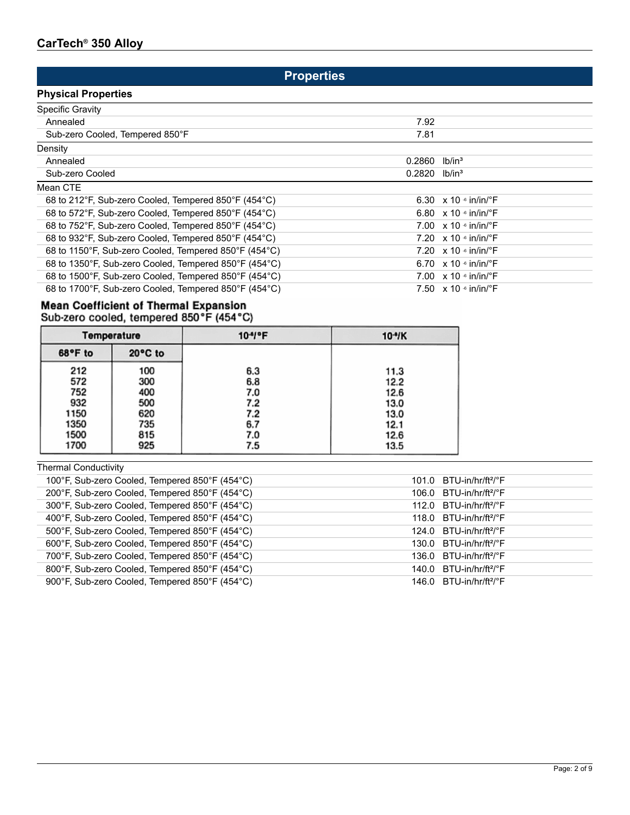# **Properties**

# **Physical Properties**

| <b>Specific Gravity</b>                               |        |                                           |
|-------------------------------------------------------|--------|-------------------------------------------|
| Annealed                                              | 7.92   |                                           |
| Sub-zero Cooled, Tempered 850°F                       | 7.81   |                                           |
| Density                                               |        |                                           |
| Annealed                                              | 0.2860 | lb/in <sup>3</sup>                        |
| Sub-zero Cooled                                       | 0.2820 | lb/in <sup>3</sup>                        |
| Mean CTE                                              |        |                                           |
| 68 to 212°F, Sub-zero Cooled, Tempered 850°F (454°C)  |        | 6.30 $\times$ 10 $\cdot$ in/in/ $\cdot$ F |
| 68 to 572°F, Sub-zero Cooled, Tempered 850°F (454°C)  |        | 6.80 $\times$ 10 $\cdot$ in/in/ $\cdot$ F |
| 68 to 752°F, Sub-zero Cooled, Tempered 850°F (454°C)  |        | 7.00 $\times$ 10 $\cdot$ in/in/ $\cdot$ F |
| 68 to 932°F, Sub-zero Cooled, Tempered 850°F (454°C)  |        | 7.20 $\times$ 10 $\cdot$ in/in/ $\cdot$ F |
| 68 to 1150°F, Sub-zero Cooled, Tempered 850°F (454°C) |        | 7.20 $\times$ 10 $\cdot$ in/in/ $\cdot$ F |
| 68 to 1350°F, Sub-zero Cooled, Tempered 850°F (454°C) |        | 6.70 $\times$ 10 $\cdot$ in/in/ $\cdot$ F |
| 68 to 1500°F, Sub-zero Cooled, Tempered 850°F (454°C) |        | 7.00 $\times$ 10 $\cdot$ in/in/ $\cdot$ F |
| 68 to 1700°F, Sub-zero Cooled, Tempered 850°F (454°C) |        | 7.50 $\times$ 10 $\cdot$ in/in/ $\cdot$ F |
|                                                       |        |                                           |

# Mean Coefficient of Thermal Expansion<br>Sub-zero cooled, tempered 850°F (454°C)

|         | 10 <sup>-4</sup> °F<br><b>Temperature</b> |     | $10-4$ K |
|---------|-------------------------------------------|-----|----------|
| 68°F to | 20°C to                                   |     |          |
| 212     | 100                                       | 6.3 | 11.3     |
| 572     | 300                                       | 6.8 | 12.2     |
| 752     | 400                                       | 7.0 | 12.6     |
| 932     | 500                                       | 7.2 | 13.0     |
| 1150    | 620                                       | 7.2 | 13.0     |
| 1350    | 735                                       | 6.7 | 12.1     |
| 1500    | 815                                       | 7.0 | 12.6     |
| 1700    | 925                                       | 7.5 | 13.5     |

# Thermal Conductivity

| 100°F, Sub-zero Cooled, Tempered 850°F (454°C) | $101.0$ BTU-in/hr/ft <sup>2</sup> / $\degree$ F |
|------------------------------------------------|-------------------------------------------------|
| 200°F, Sub-zero Cooled, Tempered 850°F (454°C) | 106.0 BTU-in/hr/ft <sup>2/°</sup> F             |
| 300°F, Sub-zero Cooled, Tempered 850°F (454°C) | 112.0 BTU-in/hr/ft $^{2/6}$ F                   |
| 400°F, Sub-zero Cooled, Tempered 850°F (454°C) | 118.0 $BTU-in/hr/ft2/°F$                        |
| 500°F, Sub-zero Cooled, Tempered 850°F (454°C) | $124.0$ BTU-in/hr/ft <sup>2</sup> / $\degree$ F |
| 600°F, Sub-zero Cooled, Tempered 850°F (454°C) | $130.0$ BTU-in/hr/ft <sup>2</sup> / $\degree$ F |
| 700°F, Sub-zero Cooled, Tempered 850°F (454°C) | 136.0 $BTU-in/hr/ft2$ <sup>o</sup> F            |
| 800°F, Sub-zero Cooled, Tempered 850°F (454°C) | 140.0 BTU-in/hr/ft <sup>2/°</sup> F             |
| 900°F, Sub-zero Cooled, Tempered 850°F (454°C) | 146.0 $BTU-in/hr/ft2/°F$                        |
|                                                |                                                 |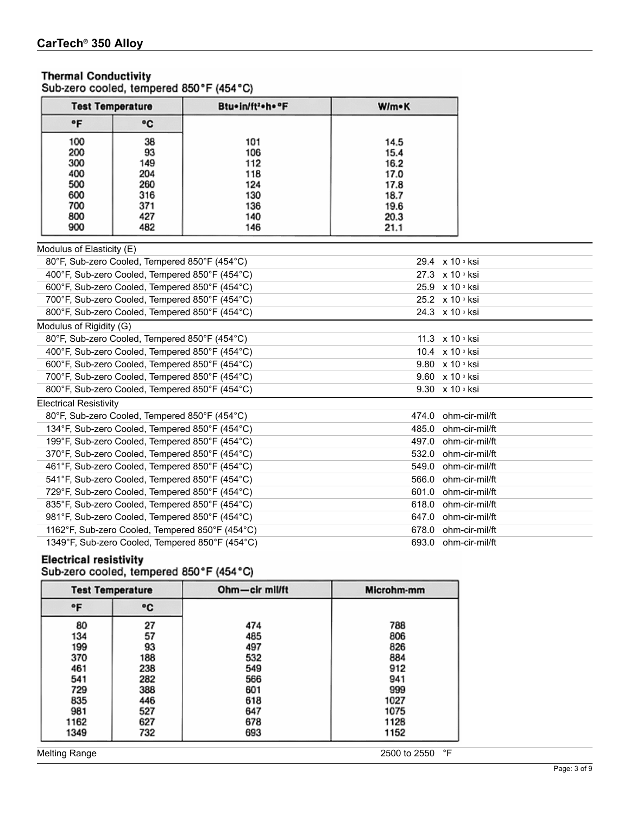# **Thermal Conductivity**

Sub-zero cooled, tempered 850°F (454°C)

|            | Btu+in/ft2+h+°F<br><b>Test Temperature</b> |            | W/m•K        |
|------------|--------------------------------------------|------------|--------------|
| ۰F         | ۰c                                         |            |              |
| 100        | 38                                         | 101        | 14.5         |
| 200<br>300 | 93<br>149                                  | 106<br>112 | 15.4<br>16.2 |
| 400<br>500 | 204<br>260                                 | 118<br>124 | 17.0<br>17.8 |
| 600        | 316                                        | 130        | 18.7         |
| 700<br>800 | 371<br>427                                 | 136<br>140 | 19.6<br>20.3 |
| 900        | 482                                        | 146        | 21.1         |

#### Modulus of Elasticity (E)

| 80°F, Sub-zero Cooled, Tempered 850°F (454°C)   |       | 29.4 $\times$ 10 $\frac{3}{10}$ ksi |
|-------------------------------------------------|-------|-------------------------------------|
| 400°F, Sub-zero Cooled, Tempered 850°F (454°C)  |       | 27.3 x 10 <sup>3</sup> ksi          |
| 600°F, Sub-zero Cooled, Tempered 850°F (454°C)  |       | 25.9 x 10 3 ksi                     |
| 700°F, Sub-zero Cooled, Tempered 850°F (454°C)  |       | 25.2 x 10 3 ksi                     |
| 800°F, Sub-zero Cooled, Tempered 850°F (454°C)  |       | 24.3 x 10 3 ksi                     |
| Modulus of Rigidity (G)                         |       |                                     |
| 80°F, Sub-zero Cooled, Tempered 850°F (454°C)   |       | 11.3 $\times$ 10 $\frac{3}{10}$ ksi |
| 400°F, Sub-zero Cooled, Tempered 850°F (454°C)  |       | 10.4 $\times$ 10 $\frac{3}{10}$ ksi |
| 600°F, Sub-zero Cooled, Tempered 850°F (454°C)  |       | 9.80 x 10 s ksi                     |
| 700°F, Sub-zero Cooled, Tempered 850°F (454°C)  |       | 9.60 x 10 3 ksi                     |
| 800°F, Sub-zero Cooled, Tempered 850°F (454°C)  |       | 9.30 x 10 3 ksi                     |
| <b>Electrical Resistivity</b>                   |       |                                     |
| 80°F, Sub-zero Cooled, Tempered 850°F (454°C)   | 474.0 | ohm-cir-mil/ft                      |
| 134°F, Sub-zero Cooled, Tempered 850°F (454°C)  | 485.0 | ohm-cir-mil/ft                      |
| 199°F, Sub-zero Cooled, Tempered 850°F (454°C)  | 497.0 | ohm-cir-mil/ft                      |
| 370°F, Sub-zero Cooled, Tempered 850°F (454°C)  | 532.0 | ohm-cir-mil/ft                      |
| 461°F, Sub-zero Cooled, Tempered 850°F (454°C)  | 549.0 | ohm-cir-mil/ft                      |
| 541°F, Sub-zero Cooled, Tempered 850°F (454°C)  | 566.0 | ohm-cir-mil/ft                      |
| 729°F, Sub-zero Cooled, Tempered 850°F (454°C)  | 601.0 | ohm-cir-mil/ft                      |
| 835°F, Sub-zero Cooled, Tempered 850°F (454°C)  | 618.0 | ohm-cir-mil/ft                      |
| 981°F, Sub-zero Cooled, Tempered 850°F (454°C)  | 647.0 | ohm-cir-mil/ft                      |
| 1162°F, Sub-zero Cooled, Tempered 850°F (454°C) | 678.0 | ohm-cir-mil/ft                      |
| 1349°F, Sub-zero Cooled, Tempered 850°F (454°C) |       | 693.0 ohm-cir-mil/ft                |

# Electrical resistivity<br>Sub-zero cooled, tempered 850°F (454°C)

| <b>Test Temperature</b> |     | Ohm-cir mil/ft |                    |
|-------------------------|-----|----------------|--------------------|
| ۰F<br>۰c                |     |                |                    |
| 80                      | 27  | 474            | 788                |
| 134                     | 57  | 485            | 806                |
| 199                     | 93  | 497            | 826                |
| 370                     | 188 | 532            | 884                |
| 461                     | 238 | 549            | 912                |
| 541                     | 282 | 566            | 941                |
| 729                     | 388 | 601            | 999                |
| 835                     | 446 | 618            | 1027               |
| 981                     | 527 | 647            | 1075               |
| 1162                    | 627 | 678            | 1128               |
| 1349                    | 732 | 693            | 1152               |
| <b>Melting Range</b>    |     |                | °F<br>2500 to 2550 |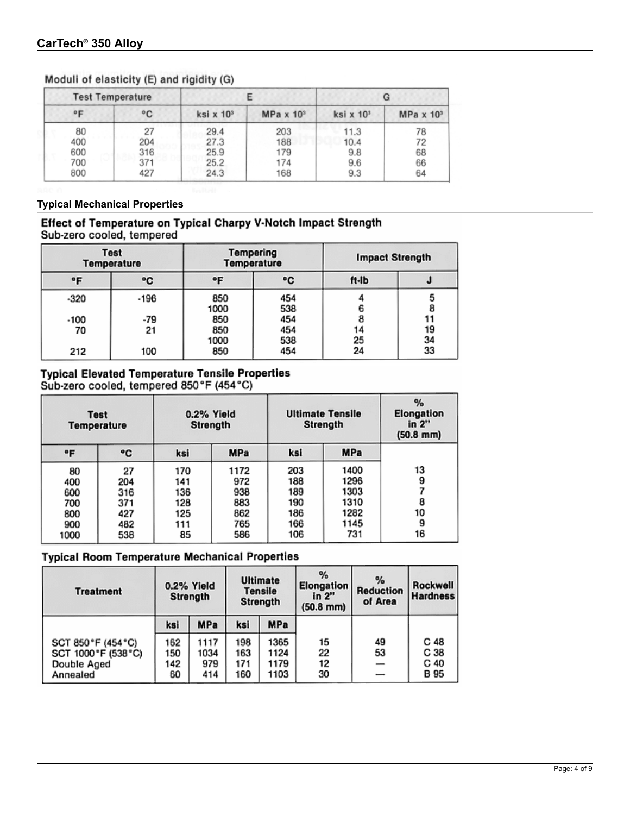## Moduli of elasticity (E) and rigidity (G)

|              | <b>Test Temperature</b> |                            |                            |                              | G                |  |
|--------------|-------------------------|----------------------------|----------------------------|------------------------------|------------------|--|
| $^{\circ}$ F | $^{\circ}$ C            | ksi $\times$ 10 $^{\circ}$ | MPa $\times$ 10 $^{\circ}$ | ksi $\times$ 10 <sup>3</sup> | $MPa \times 103$ |  |
| 80           | 27                      | 29.4                       | 203                        | 11.3                         | 78               |  |
| 400          | 204                     | 27.3                       | 188                        | 10.4                         | 72               |  |
| 600          | 316                     | 25.9                       | 179                        | 9.8                          | 68               |  |
| 700          | 371                     | 25.2                       | 174                        | 9.6                          | 66               |  |
| 800          | 427                     | 24.3                       | 168                        | 9.3                          | 64               |  |

**Typical Mechanical Properties**

### Effect of Temperature on Typical Charpy V-Notch Impact Strength Sub-zero cooled, tempered

| <b>Test</b><br><b>Temperature</b> |      | Tempering<br><b>Temperature</b> |            | <b>Impact Strength</b> |    |
|-----------------------------------|------|---------------------------------|------------|------------------------|----|
| ۰F                                | ۰c   | ۰F                              | ۰c         | ft-Ib                  |    |
| $-320$                            | -196 | 850<br>1000                     | 454<br>538 |                        | 8  |
| $-100$                            | -79  | 850                             | 454        |                        | 11 |
| 70                                | 21   | 850                             | 454        |                        | 19 |
|                                   |      | 1000                            | 538        | 25                     | 34 |
| 212                               | 100  | 850                             | 454        | 24                     | 33 |

# Typical Elevated Temperature Tensile Properties<br>Sub-zero cooled, tempered 850°F (454°C)

| <b>Test</b><br><b>Temperature</b> |     | 0.2% Yield<br>Strength |            | <b>Ultimate Tensile</b><br>Strength |            | %<br>Elongation<br>in 2"<br>$(50.8 \, \text{mm})$ |
|-----------------------------------|-----|------------------------|------------|-------------------------------------|------------|---------------------------------------------------|
| °F                                | ۰c  | ksi                    | <b>MPa</b> | ksi                                 | <b>MPa</b> |                                                   |
| 80                                | 27  | 170                    | 1172       | 203                                 | 1400       | 13                                                |
| 400                               | 204 | 141                    | 972        | 188                                 | 1296       | 9                                                 |
| 600                               | 316 | 136                    | 938        | 189                                 | 1303       |                                                   |
| 700                               | 371 | 128                    | 883        | 190                                 | 1310       | 8                                                 |
| 800                               | 427 | 125                    | 862        | 186                                 | 1282       | 10                                                |
| 900                               | 482 | 111                    | 765        | 166                                 | 1145       | 9                                                 |
| 1000                              | 538 | 85                     | 586        | 106                                 | 731        | 16                                                |

# **Typical Room Temperature Mechanical Properties**

| <b>Treatment</b>                                                     |                         | 0.2% Yield<br>Strength     |                          | <b>Ultimate</b><br>Tensile<br>Strength | %<br>Elongation<br>in 2"<br>$(50.8 \, \text{mm})$ | %<br>Reduction<br>of Area | Rockwell<br><b>Hardness</b>             |
|----------------------------------------------------------------------|-------------------------|----------------------------|--------------------------|----------------------------------------|---------------------------------------------------|---------------------------|-----------------------------------------|
|                                                                      | ksi                     | MPa                        | ksi                      | MPa                                    |                                                   |                           |                                         |
| SCT 850°F (454°C)<br>SCT 1000 °F (538 °C)<br>Double Aged<br>Annealed | 162<br>150<br>142<br>60 | 1117<br>1034<br>979<br>414 | 198<br>163<br>171<br>160 | 1365<br>1124<br>1179<br>1103           | 15<br>22<br>12<br>30                              | 49<br>53                  | C 48<br>C 38<br>C <sub>40</sub><br>B 95 |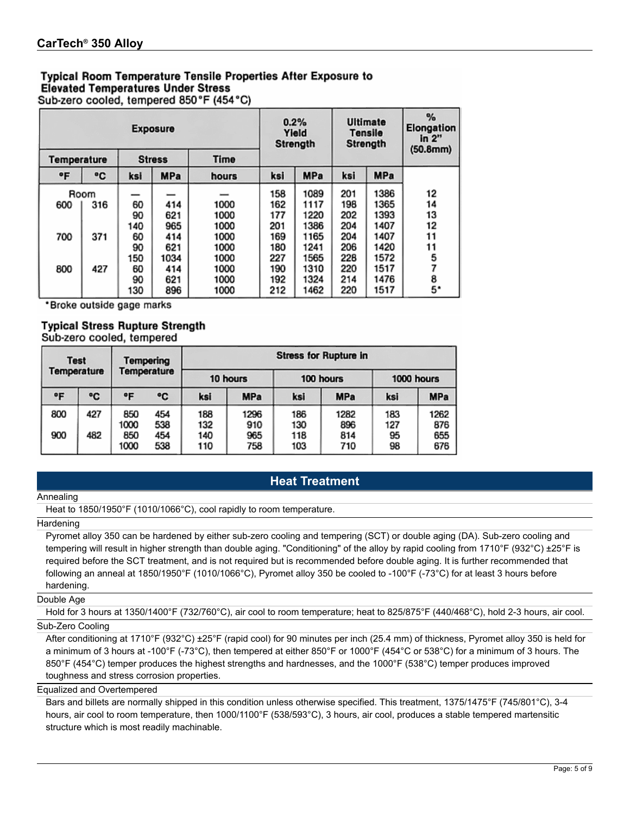# **Typical Room Temperature Tensile Properties After Exposure to Elevated Temperatures Under Stress**

Sub-zero cooled, tempered 850°F (454°C)

|                    |      |     | <b>Exposure</b> |       |     | 0.2%<br>Yield<br>Strength |     | Ultimate<br><b>Tensile</b><br><b>Strength</b> | %<br><b>Elongation</b><br>in 2"<br>(50.8mm) |
|--------------------|------|-----|-----------------|-------|-----|---------------------------|-----|-----------------------------------------------|---------------------------------------------|
| <b>Temperature</b> |      |     | <b>Stress</b>   | Time  |     |                           |     |                                               |                                             |
| ۰F                 | ۰c   | ksi | <b>MPa</b>      | hours | ksi | <b>MPa</b>                | ksi | <b>MPa</b>                                    |                                             |
|                    | Room |     |                 |       | 158 | 1089                      | 201 | 1386                                          | 12                                          |
| 600                | 316  | 60  | 414             | 1000  | 162 | 1117                      | 198 | 1365                                          | 14                                          |
|                    |      | 90  | 621             | 1000  | 177 | 1220                      | 202 | 1393                                          | 13                                          |
|                    |      | 140 | 965             | 1000  | 201 | 1386                      | 204 | 1407                                          | 12                                          |
| 700                | 371  | 60  | 414             | 1000  | 169 | 1165                      | 204 | 1407                                          | 11                                          |
|                    |      | 90  | 621             | 1000  | 180 | 1241                      | 206 | 1420                                          | 11                                          |
|                    |      | 150 | 1034            | 1000  | 227 | 1565                      | 228 | 1572                                          | 5                                           |
| 800                | 427  | 60  | 414             | 1000  | 190 | 1310                      | 220 | 1517                                          | 7                                           |
|                    |      | 90  | 621             | 1000  | 192 | 1324                      | 214 | 1476                                          | 8                                           |
|                    |      | 130 | 896             | 1000  | 212 | 1462                      | 220 | 1517                                          | 5.                                          |

\*Broke outside gage marks

#### **Typical Stress Rupture Strength** Sub-zero cooled, tempered

| <b>Test</b><br>Temperature |     | <b>Tempering</b><br><b>Temperature</b> |            |            | <b>Stress for Rupture in</b> |            |             |            |             |  |  |  |
|----------------------------|-----|----------------------------------------|------------|------------|------------------------------|------------|-------------|------------|-------------|--|--|--|
|                            |     |                                        |            | 10 hours   |                              | 100 hours  |             | 1000 hours |             |  |  |  |
| ۰F                         | ۰c  | ۰F                                     | ۰C         | ksi        | <b>MPa</b>                   | ksi        | <b>MPa</b>  | ksi        | <b>MPa</b>  |  |  |  |
| 800                        | 427 | 850<br>1000                            | 454<br>538 | 188<br>132 | 1296<br>910                  | 186<br>130 | 1282<br>896 | 183<br>127 | 1262<br>876 |  |  |  |
| 900                        | 482 | 850<br>1000                            | 454<br>538 | 140<br>110 | 965<br>758                   | 118<br>103 | 814<br>710  | 95<br>98   | 655<br>676  |  |  |  |

# **Heat Treatment**

#### Annealing

Heat to 1850/1950°F (1010/1066°C), cool rapidly to room temperature.

#### Hardening

Pyromet alloy 350 can be hardened by either sub-zero cooling and tempering (SCT) or double aging (DA). Sub-zero cooling and tempering will result in higher strength than double aging. "Conditioning" of the alloy by rapid cooling from 1710°F (932°C) ±25°F is required before the SCT treatment, and is not required but is recommended before double aging. It is further recommended that following an anneal at 1850/1950°F (1010/1066°C), Pyromet alloy 350 be cooled to -100°F (-73°C) for at least 3 hours before hardening.

#### Double Age

Hold for 3 hours at 1350/1400°F (732/760°C), air cool to room temperature; heat to 825/875°F (440/468°C), hold 2-3 hours, air cool.

#### Sub-Zero Cooling

After conditioning at 1710°F (932°C) ±25°F (rapid cool) for 90 minutes per inch (25.4 mm) of thickness, Pyromet alloy 350 is held for a minimum of 3 hours at -100°F (-73°C), then tempered at either 850°F or 1000°F (454°C or 538°C) for a minimum of 3 hours. The 850°F (454°C) temper produces the highest strengths and hardnesses, and the 1000°F (538°C) temper produces improved toughness and stress corrosion properties.

Equalized and Overtempered

Bars and billets are normally shipped in this condition unless otherwise specified. This treatment, 1375/1475°F (745/801°C), 3-4 hours, air cool to room temperature, then 1000/1100°F (538/593°C), 3 hours, air cool, produces a stable tempered martensitic structure which is most readily machinable.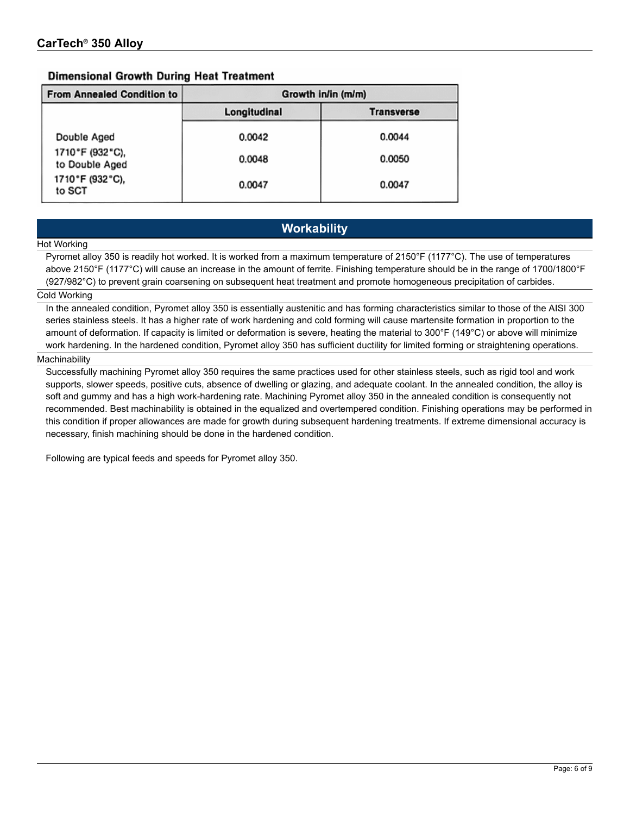### **Dimensional Growth During Heat Treatment**

| <b>From Annealed Condition to</b> | Growth in/in (m/m) |                   |  |  |  |  |  |
|-----------------------------------|--------------------|-------------------|--|--|--|--|--|
|                                   | Longitudinal       | <b>Transverse</b> |  |  |  |  |  |
| Double Aged                       | 0.0042             | 0.0044            |  |  |  |  |  |
| 1710°F (932°C),<br>to Double Aged | 0.0048             | 0.0050            |  |  |  |  |  |
| 1710°F (932°C),<br>to SCT         | 0.0047             | 0.0047            |  |  |  |  |  |

# **Workability**

#### Hot Working

Pyromet alloy 350 is readily hot worked. It is worked from a maximum temperature of 2150°F (1177°C). The use of temperatures above 2150°F (1177°C) will cause an increase in the amount of ferrite. Finishing temperature should be in the range of 1700/1800°F (927/982°C) to prevent grain coarsening on subsequent heat treatment and promote homogeneous precipitation of carbides.

#### Cold Working

In the annealed condition, Pyromet alloy 350 is essentially austenitic and has forming characteristics similar to those of the AISI 300 series stainless steels. It has a higher rate of work hardening and cold forming will cause martensite formation in proportion to the amount of deformation. If capacity is limited or deformation is severe, heating the material to 300°F (149°C) or above will minimize work hardening. In the hardened condition, Pyromet alloy 350 has sufficient ductility for limited forming or straightening operations.

#### Machinability

Successfully machining Pyromet alloy 350 requires the same practices used for other stainless steels, such as rigid tool and work supports, slower speeds, positive cuts, absence of dwelling or glazing, and adequate coolant. In the annealed condition, the alloy is soft and gummy and has a high work-hardening rate. Machining Pyromet alloy 350 in the annealed condition is consequently not recommended. Best machinability is obtained in the equalized and overtempered condition. Finishing operations may be performed in this condition if proper allowances are made for growth during subsequent hardening treatments. If extreme dimensional accuracy is necessary, finish machining should be done in the hardened condition.

Following are typical feeds and speeds for Pyromet alloy 350.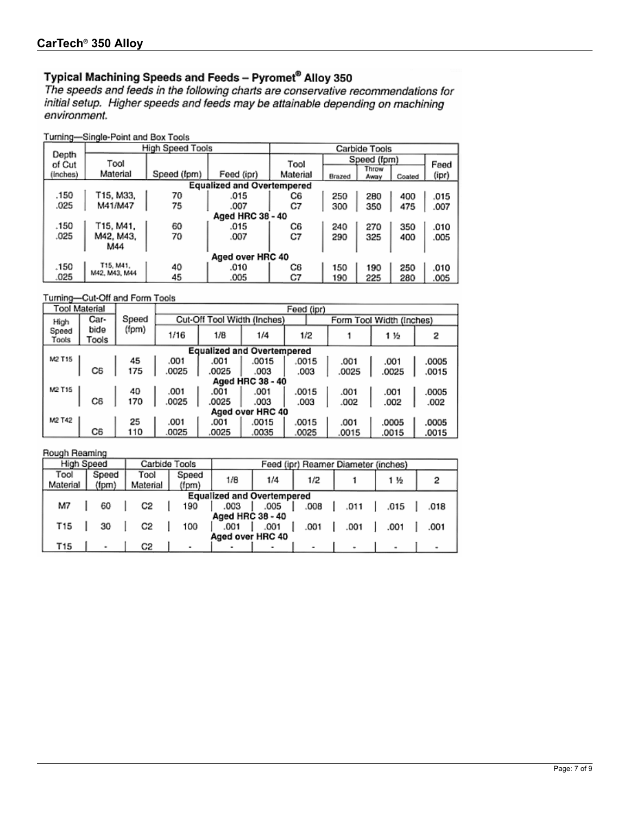Typical Machining Speeds and Feeds - Pyromet® Alloy 350<br>The speeds and feeds in the following charts are conservative recommendations for initial setup. Higher speeds and feeds may be attainable depending on machining environment.

Turning-Single-Point and Box Tools

|          |                  | High Speed Tools |                                   |          |        | Carbide Tools |        |       |  |
|----------|------------------|------------------|-----------------------------------|----------|--------|---------------|--------|-------|--|
| Depth    | Tool             |                  |                                   |          |        | Speed (fpm)   |        |       |  |
| of Cut   |                  |                  |                                   | Tool     |        | Throw         |        | Feed  |  |
| (Inches) | Material         | Speed (fpm)      | Feed (ipr)                        | Material | Brazed | Away          | Coated | (ipr) |  |
|          |                  |                  | <b>Equalized and Overtempered</b> |          |        |               |        |       |  |
| .150     | T15, M33,        | 70               | .015                              | C6       | 250    | 280           | 400    | .015  |  |
| .025     | M41/M47          | 75               | .007                              | C7       | 300    | 350           | 475    | .007  |  |
|          |                  |                  | Aged HRC 38 - 40                  |          |        |               |        |       |  |
| .150     | T15. M41.        | 60               | .015                              | C6       | 240    | 270           | 350    | .010  |  |
| .025     | M42, M43,        | 70               | .007                              | C7       | 290    | 325           | 400    | .005  |  |
|          | M44              |                  |                                   |          |        |               |        |       |  |
|          | Aged over HRC 40 |                  |                                   |          |        |               |        |       |  |
| .150     | T15, M41,        | 40               | .010                              | C6       | 150    | 190           | 250    | .010  |  |
| .025     | M42, M43, M44    | 45               | .005                              | C7       | 190    | 225           | 280    | .005  |  |
|          |                  |                  |                                   |          |        |               |        |       |  |

Turning-Cut-Off and Form Tools

|                      | Tool Material                                                                                                      |           |       | Feed (ipr)                  |                  |       |       |       |                          |       |  |  |
|----------------------|--------------------------------------------------------------------------------------------------------------------|-----------|-------|-----------------------------|------------------|-------|-------|-------|--------------------------|-------|--|--|
| High                 | Car-                                                                                                               | Speed     |       | Cut-Off Tool Width (Inches) |                  |       |       |       | Form Tool Width (Inches) |       |  |  |
| Speed<br>Tools       | bide<br>Tools                                                                                                      | (fpm)     | 1/16  | 1/B                         | 1/4<br>1/2       |       |       |       | 1 1/2                    |       |  |  |
|                      | <b>Equalized and Overtempered</b><br>$\left\lceil \frac{1}{2} \right\rceil$ $\left\lceil \frac{1}{2} \right\rceil$ |           |       |                             |                  |       |       |       |                          |       |  |  |
|                      |                                                                                                                    | 45<br>175 | .001  | .001                        | .0015            |       | .0015 | .001  | .001                     | .0005 |  |  |
|                      |                                                                                                                    |           | .0025 | .0025                       | .003             | .003  |       | .0025 | .0025                    | .0015 |  |  |
|                      |                                                                                                                    |           |       |                             | Aged HRC 38 - 40 |       |       |       |                          |       |  |  |
| $M2$ T <sub>15</sub> |                                                                                                                    | 40<br>170 | .001  | .001                        | .001             | .0015 |       | .001  | .001                     | .0005 |  |  |
|                      | C6                                                                                                                 |           | .0025 | .0025                       | .003             | .003  |       | .002  | .002                     | .002  |  |  |
|                      | Aged over HRC 40                                                                                                   |           |       |                             |                  |       |       |       |                          |       |  |  |
| M2 T42               |                                                                                                                    | 25        | .001  | .001                        | .0015            | .0015 |       | .001  | .0005                    | .0005 |  |  |
|                      | CБ                                                                                                                 | 110       | .0025 | .0025                       | .0035            | .0025 |       | .0015 | .0015                    | .0015 |  |  |

Rough Reaming

| High Speed<br>Carbide Tools       |       |                |       | Feed (ipr) Reamer Diameter (inches) |      |      |      |      |      |  |  |  |
|-----------------------------------|-------|----------------|-------|-------------------------------------|------|------|------|------|------|--|--|--|
| Tool                              | Speed | Tool           | Speed | 1/8                                 | 1/4  | 1/2  |      | 1 经  |      |  |  |  |
| Material                          | (fpm) | Material       | (fpm) |                                     |      |      |      |      |      |  |  |  |
| <b>Equalized and Overtempered</b> |       |                |       |                                     |      |      |      |      |      |  |  |  |
| M7                                | 60    | C2             | 190   | .003                                | .005 | .008 | .011 | .015 | .018 |  |  |  |
|                                   |       |                |       | Aged HRC 38 - 40                    |      |      |      |      |      |  |  |  |
| T15                               | 30    | C <sub>2</sub> | 100   | .001                                | .001 | .001 | .001 | .001 | .001 |  |  |  |
| Aged over HRC 40                  |       |                |       |                                     |      |      |      |      |      |  |  |  |
| T15                               |       | C2             | ۰     |                                     | ۰    |      |      |      |      |  |  |  |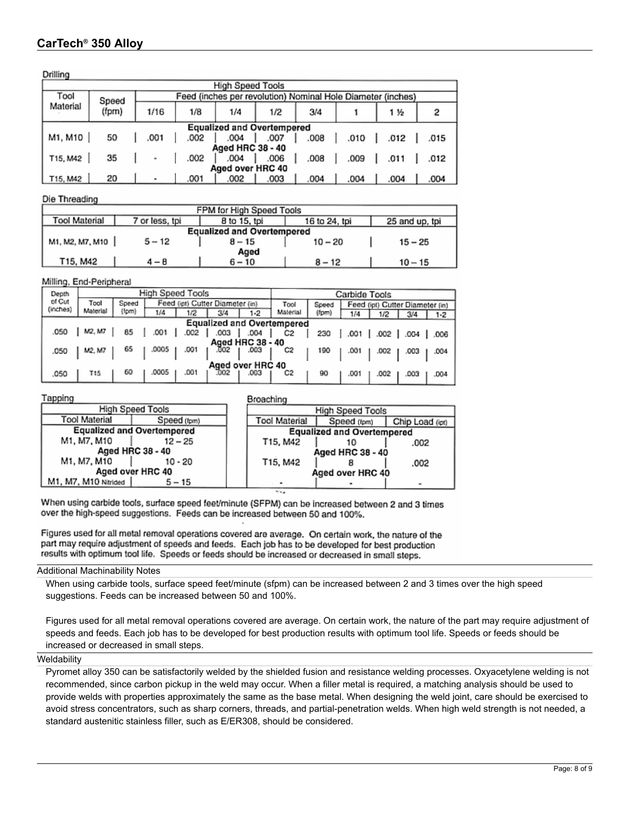Drilling

| --------- |                                   |                                                             |      |                         |      |      |      |      |      |  |  |
|-----------|-----------------------------------|-------------------------------------------------------------|------|-------------------------|------|------|------|------|------|--|--|
|           |                                   |                                                             |      | <b>High Speed Tools</b> |      |      |      |      |      |  |  |
| Tool      | Speed                             | Feed (inches per revolution) Nominal Hole Diameter (inches) |      |                         |      |      |      |      |      |  |  |
| Material  | (fpm)                             | 1/16                                                        | 1/8  | 1/4                     | 1/2  | 3/4  |      | 1½   |      |  |  |
|           | <b>Equalized and Overtempered</b> |                                                             |      |                         |      |      |      |      |      |  |  |
| M1, M10   | 50                                | .001                                                        | .002 | .004                    | .007 | .008 | .010 | .012 | .015 |  |  |
|           |                                   |                                                             |      | Aged HRC 38 - 40        |      |      |      |      |      |  |  |
| T15, M42  | 35                                | ۰                                                           | .002 | .004                    | .006 | .008 | .009 | .011 | .012 |  |  |
|           | Aged over HRC 40                  |                                                             |      |                         |      |      |      |      |      |  |  |
| T15, M42  | 20                                | ٠                                                           | .001 | .002                    | .003 | .004 | .004 | .004 | .004 |  |  |

Die Threading

| FPM for High Speed Tools          |                |              |               |                |  |  |  |  |  |
|-----------------------------------|----------------|--------------|---------------|----------------|--|--|--|--|--|
| Tool Material                     | 7 or less, tpi | 8 to 15, tpi | 16 to 24, tpi | 25 and up, tpi |  |  |  |  |  |
| <b>Equalized and Overtempered</b> |                |              |               |                |  |  |  |  |  |
| M1, M2, M7, M10                   | $5 - 12$       | $8 - 15$     | $10 - 20$     | $15 - 25$      |  |  |  |  |  |
| Aged                              |                |              |               |                |  |  |  |  |  |
| T15, M42                          | 4 – 8          | $6 - 10$     | $8 - 12$      | $10 - 15$      |  |  |  |  |  |

#### Milling, End-Peripheral

| Depth    | High Speed Tools                  |       |       |      |                                 |                  | Carbide Tools |       |      |                                 |        |      |  |
|----------|-----------------------------------|-------|-------|------|---------------------------------|------------------|---------------|-------|------|---------------------------------|--------|------|--|
| of Cut   | Tool                              | Speed |       |      | Feed (ipt) Cutter Diameter (in) |                  | Tool          | Soeed |      | Feed (ipt) Cutter Diameter (in) |        |      |  |
| (inches) | Material                          | (fpm) | 1/4   | 1/2  | 3/4                             | $1-2$            | Malerial      | (fpm) | 1/4  | 1/2                             | 3/4    | 1-2  |  |
|          | <b>Equalized and Overtempered</b> |       |       |      |                                 |                  |               |       |      |                                 |        |      |  |
| .050     | M2. M7                            | 85    | 001   | 002  | .003                            | .004             | C2            | 230   |      |                                 | .004 I | .006 |  |
|          |                                   |       |       |      |                                 | Aged HRC 38 - 40 |               |       |      |                                 |        |      |  |
| .050     | M2. M7                            | 65    | .0005 | .001 | 002                             | .003             | C2            | 190   | .001 | .002                            | .003   | .004 |  |
|          | Aged over HRC 40                  |       |       |      |                                 |                  |               |       |      |                                 |        |      |  |
| .050     | T15                               | 60    | .0005 | .001 | .002                            | .003             | C2            | 90    | .001 | .002                            | 003    | 004  |  |

**Broaching** 

#### Tapping

|                                   |                      | High Speed Tools |  | <b>High Speed Tools</b> |                                   |      |  |  |
|-----------------------------------|----------------------|------------------|--|-------------------------|-----------------------------------|------|--|--|
|                                   | Tool Material        | Speed (fpm)      |  | <b>Tool Material</b>    | Chip Load                         |      |  |  |
| <b>Equalized and Overtempered</b> |                      |                  |  |                         | <b>Equalized and Overtempered</b> |      |  |  |
|                                   | M1, M7, M10          | $12 - 25$        |  | T15, M42                |                                   | .002 |  |  |
|                                   |                      | Aged HRC 38 - 40 |  | Aged HRC 38 - 40        |                                   |      |  |  |
|                                   | M1, M7, M10          | $10 - 20$        |  | T15, M42                |                                   | .002 |  |  |
|                                   |                      | Aged over HRC 40 |  |                         | Aged over HRC 40                  |      |  |  |
|                                   | M1, M7, M10 Nitrided | $5 - 15$         |  |                         |                                   |      |  |  |

When using carbide tools, surface speed feet/minute (SFPM) can be increased between 2 and 3 times over the high-speed suggestions. Feeds can be increased between 50 and 100%.

Figures used for all metal removal operations covered are average. On certain work, the nature of the part may require adjustment of speeds and feeds. Each job has to be developed for best production results with optimum tool life. Speeds or feeds should be increased or decreased in small steps.

Additional Machinability Notes

When using carbide tools, surface speed feet/minute (sfpm) can be increased between 2 and 3 times over the high speed suggestions. Feeds can be increased between 50 and 100%.

Figures used for all metal removal operations covered are average. On certain work, the nature of the part may require adjustment of speeds and feeds. Each job has to be developed for best production results with optimum tool life. Speeds or feeds should be increased or decreased in small steps.

 $(ipt)$ 

#### **Weldability**

Pyromet alloy 350 can be satisfactorily welded by the shielded fusion and resistance welding processes. Oxyacetylene welding is not recommended, since carbon pickup in the weld may occur. When a filler metal is required, a matching analysis should be used to provide welds with properties approximately the same as the base metal. When designing the weld joint, care should be exercised to avoid stress concentrators, such as sharp corners, threads, and partial-penetration welds. When high weld strength is not needed, a standard austenitic stainless filler, such as E/ER308, should be considered.